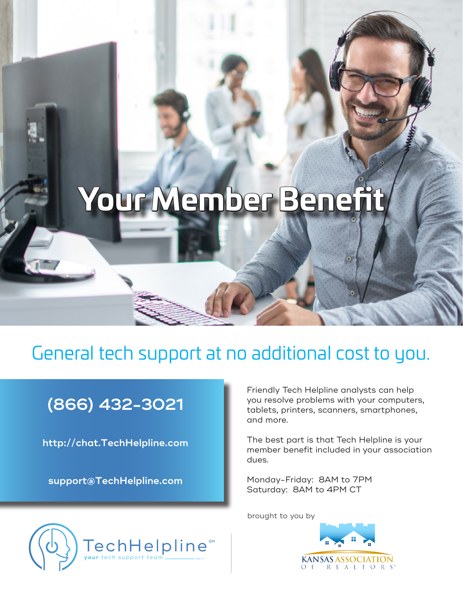# **Your Member Benefit**

### General tech support at no additional cost to you.

## **(866) 432-3021**

**http://chat.TechHelpline.com**

**support@TechHelpline.com**

Friendly Tech Helpline analysts can help you resolve problems with your computers, tablets, printers, scanners, smartphones, and more.

The best part is that Tech Helpline is your member benefit included in your association dues.

Monday-Friday: 8AM to 7PM Saturday: 8AM to 4PM CT

brought to you by